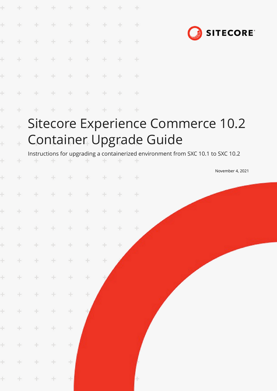|                | ÷            | ÷           | $+$   | ÷      | ÷     |     |        | ÷             |                                                                                  |  |
|----------------|--------------|-------------|-------|--------|-------|-----|--------|---------------|----------------------------------------------------------------------------------|--|
| ÷              | ÷            | $+$         | $+$   | $+$    | $+$   | ÷   | ÷      | $\pm$         |                                                                                  |  |
|                | ÷            | $+$         | $+$   | ÷      | ÷     | ÷   | ÷      | ÷             | <b>SITECORE</b>                                                                  |  |
|                |              | ÷           | $+$   | ÷      | $\pm$ | $+$ | ÷      | $+$           |                                                                                  |  |
|                |              | ÷           | $+$   | $+$    | $\pm$ | ÷   |        | $\frac{1}{2}$ |                                                                                  |  |
|                |              |             |       | ÷      | $+$   |     |        | $+$           |                                                                                  |  |
| ł              |              |             |       |        |       |     |        | ÷             |                                                                                  |  |
| $\overline{a}$ | $\ddot{\pm}$ |             |       |        |       |     |        |               | Sitecore Experience Commerce 10.2                                                |  |
| $\ddot{}$      |              |             |       |        |       |     |        |               | <b>Container Upgrade Guide</b>                                                   |  |
| ÷              |              | ÷           |       | ÷      |       |     |        |               | Instructions for upgrading a containerized environment from SXC 10.1 to SXC 10.2 |  |
|                |              |             |       |        |       |     |        | ÷             | November 4, 2021                                                                 |  |
| ÷              |              |             |       |        | ÷     |     |        | ÷             |                                                                                  |  |
|                | $+$          | * * * * * * |       |        |       |     |        | $+$           |                                                                                  |  |
| ÷              | $\pm$        | $+$         | ÷     | $\pm$  | $\pm$ | $+$ | $+$    | $\pm$         |                                                                                  |  |
| $\pm$          | $+$          | ÷           | $+$   | $\div$ | ÷     | ÷.  | $\div$ |               |                                                                                  |  |
| $\pm$          | $\div$       | ÷           | ÷.    | ÷      | ÷.    | ÷   |        |               |                                                                                  |  |
| $\pm$          | $\div$       | $\pm$       | ÷.    | $\div$ | ÷     |     |        |               |                                                                                  |  |
| $\pm$          | $\pm$        | ÷           | ÷     | ÷      | ÷     |     |        |               |                                                                                  |  |
| $\pm$          | $\div$       | $\pm$       | ÷     | $\div$ |       |     |        |               |                                                                                  |  |
| $\pm$          | $\div$       | $\pm$       | ÷     | $\div$ |       |     |        |               |                                                                                  |  |
| $\pm$          | $\pm$        | ÷.          | ÷.    | ÷      |       |     |        |               |                                                                                  |  |
| $\pm$          | $\pm$        | $\pm$       | $\pm$ | $+$    |       |     |        |               |                                                                                  |  |
| $\pm$          | $+$          | $\pm$       | $\pm$ | 土      |       |     |        | ÷             |                                                                                  |  |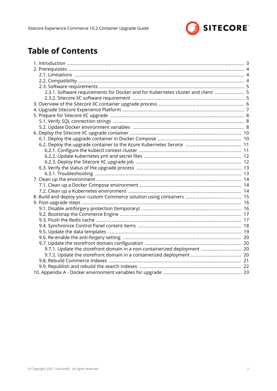

# **Table of Contents**

| 2.3.1. Software requirements for Docker and for Kubernetes cluster and client  5 |  |
|----------------------------------------------------------------------------------|--|
|                                                                                  |  |
|                                                                                  |  |
|                                                                                  |  |
|                                                                                  |  |
|                                                                                  |  |
|                                                                                  |  |
|                                                                                  |  |
|                                                                                  |  |
|                                                                                  |  |
|                                                                                  |  |
|                                                                                  |  |
|                                                                                  |  |
|                                                                                  |  |
|                                                                                  |  |
|                                                                                  |  |
|                                                                                  |  |
|                                                                                  |  |
|                                                                                  |  |
|                                                                                  |  |
|                                                                                  |  |
|                                                                                  |  |
|                                                                                  |  |
|                                                                                  |  |
|                                                                                  |  |
|                                                                                  |  |
|                                                                                  |  |
| 9.7.1. Update the storefront domain in a non-containerized deployment  20        |  |
|                                                                                  |  |
|                                                                                  |  |
|                                                                                  |  |
|                                                                                  |  |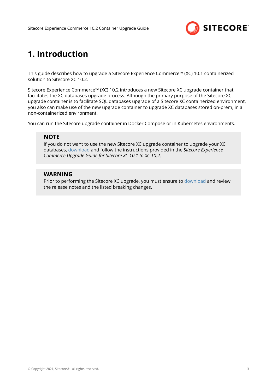

# <span id="page-2-0"></span>**1. Introduction**

This guide describes how to upgrade a Sitecore Experience Commerce™ (XC) 10.1 containerized solution to Sitecore XC 10.2.

Sitecore Experience Commerce™ (XC) 10.2 introduces a new Sitecore XC upgrade container that facilitates the XC databases upgrade process. Although the primary purpose of the Sitecore XC upgrade container is to facilitate SQL databases upgrade of a Sitecore XC containerized environment, you also can make use of the new upgrade container to upgrade XC databases stored on-prem, in a non-containerized environment.

You can run the Sitecore upgrade container in Docker Compose or in Kubernetes environments.

### **NOTE**

If you do not want to use the new Sitecore XC upgrade container to upgrade your XC databases, [download](https://dev.sitecore.net/Downloads/Sitecore_Commerce/102/Sitecore_Experience_Commerce_102.aspx) and follow the instructions provided in the *Sitecore Experience Commerce Upgrade Guide for Sitecore XC 10.1 to XC 10.2*.

### **WARNING**

Prior to performing the Sitecore XC upgrade, you must ensure to [download](https://dev.sitecore.net/Downloads/Sitecore_Commerce/102/Sitecore_Experience_Commerce_102.aspx) and review the release notes and the listed breaking changes.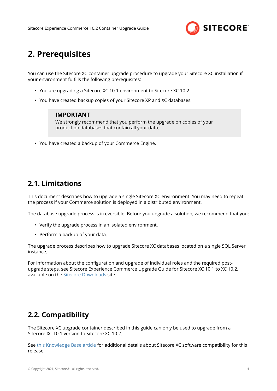

# <span id="page-3-0"></span>**2. Prerequisites**

You can use the Sitecore XC container upgrade procedure to upgrade your Sitecore XC installation if vour environment fulfills the following prerequisites:

- You are upgrading a Sitecore XC 10.1 environment to Sitecore XC 10.2
- You have created backup copies of your Sitecore XP and XC databases.

#### **IMPORTANT**

We strongly recommend that you perform the upgrade on copies of your production databases that contain all your data.

• You have created a backup of your Commerce Engine.

## **2.1. Limitations**

This document describes how to upgrade a single Sitecore XC environment. You may need to repeat the process if your Commerce solution is deployed in a distributed environment.

The database upgrade process is irreversible. Before you upgrade a solution, we recommend that you:

- Verify the upgrade process in an isolated environment.
- Perform a backup of your data.

The upgrade process describes how to upgrade Sitecore XC databases located on a single SQL Server instance.

For information about the configuration and upgrade of individual roles and the required postupgrade steps, see Sitecore Experience Commerce Upgrade Guide for Sitecore XC 10.1 to XC 10.2, available on the [Sitecore Downloads](https://dev.sitecore.net/Downloads/Sitecore_Commerce/102/Sitecore_Experience_Commerce_102.aspx) site.

## **2.2. Compatibility**

The Sitecore XC upgrade container described in this guide can only be used to upgrade from a Sitecore XC 10.1 version to Sitecore XC 10.2.

See [this Knowledge Base article](https://support.sitecore.com/kb?id=kb_article_view&sysparm_article=KB0804595) for additional details about Sitecore XC software compatibility for this release.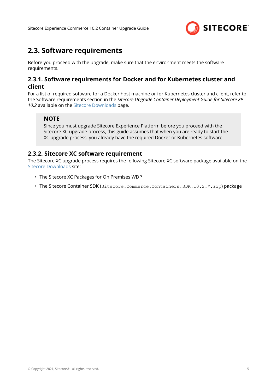

## <span id="page-4-0"></span>**2.3. Software requirements**

Before you proceed with the upgrade, make sure that the environment meets the software requirements.

### **2.3.1. Software requirements for Docker and for Kubernetes cluster and client**

For a list of required software for a Docker host machine or for Kubernetes cluster and client, refer to the Software requirements section in the *Sitecore Upgrade Container Deployment Guide for Sitecore XP 10.2* available on the [Sitecore Downloads](https://dev.sitecore.net/Downloads/Sitecore_Experience_Platform/102/Sitecore_Experience_Platform_102.aspx) page.

### **NOTE**

Since you must upgrade Sitecore Experience Platform before you proceed with the Sitecore XC upgrade process, this guide assumes that when you are ready to start the XC upgrade process, you already have the required Docker or Kubernetes software.

### **2.3.2. Sitecore XC software requirement**

The Sitecore XC upgrade process requires the following Sitecore XC software package available on the [Sitecore Downloads](https://dev.sitecore.net/Downloads/Sitecore_Commerce/102/Sitecore_Experience_Commerce_102.aspx) site:

- The Sitecore XC Packages for On Premises WDP
- The Sitecore Container SDK (Sitecore.Commerce.Containers.SDK.10.2.\*.zip) package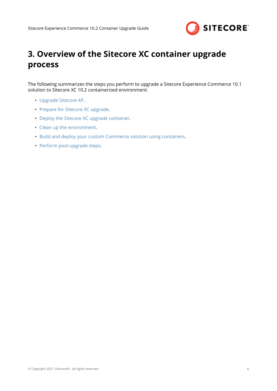

# <span id="page-5-0"></span>**3. Overview of the Sitecore XC container upgrade process**

The following summarizes the steps you perform to upgrade a Sitecore Experience Commerce 10.1 solution to Sitecore XC 10.2 containerized environment:

- [Upgrade Sitecore XP.](#page-6-0)
- [Prepare for Sitecore XC upgrade.](#page-7-0)
- [Deploy the Sitecore XC upgrade container](#page-9-0).
- [Clean up the environment](#page-13-0).
- [Build and deploy your custom Commerce solution using containers](#page-14-0).
- [Perform post-upgrade steps](#page-15-0).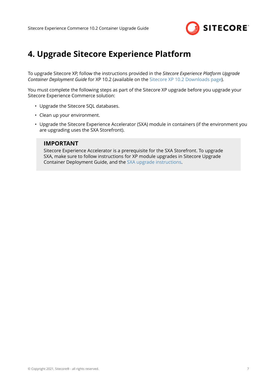

# <span id="page-6-0"></span>**4. Upgrade Sitecore Experience Platform**

To upgrade Sitecore XP, follow the instructions provided in the *Sitecore Experience Platform Upgrade Container Deployment Guide* for XP 10.2 (available on the [Sitecore XP 10.2 Downloads page\)](https://dev.sitecore.net/Downloads/Sitecore_Experience_Platform/102/Sitecore_Experience_Platform_102.aspx).

You must complete the following steps as part of the Sitecore XP upgrade before you upgrade your Sitecore Experience Commerce solution:

- Upgrade the Sitecore SQL databases.
- Clean up your environment.
- Upgrade the Sitecore Experience Accelerator (SXA) module in containers (if the environment you are upgrading uses the SXA Storefront).

#### **IMPORTANT**

Sitecore Experience Accelerator is a prerequisite for the SXA Storefront. To upgrade SXA, make sure to follow instructions for XP module upgrades in Sitecore Upgrade Container Deployment Guide, and the [SXA upgrade instructions.](https://dev.sitecore.net/Downloads/Sitecore_Experience_Accelerator/10x/Sitecore_Experience_Accelerator_1020.aspx)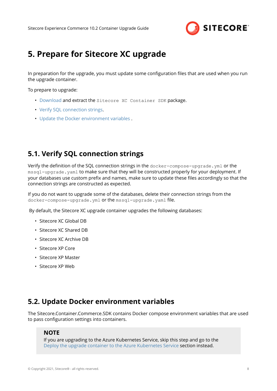

## <span id="page-7-0"></span>**5. Prepare for Sitecore XC upgrade**

In preparation for the upgrade, you must update some configuration files that are used when you run the upgrade container.

To prepare to upgrade:

- [Download](https://dev.sitecore.net/Downloads/Sitecore_Commerce/102/Sitecore_Experience_Commerce_102.aspx) and extract the Sitecore XC Container SDK package.
- Verify SQL connection strings.
- Update the Docker environment variables .

## **5.1. Verify SQL connection strings**

Verify the definition of the SQL connection strings in the docker-compose-upgrade.yml or the mssql-upgrade.yaml to make sure that they will be constructed properly for your deployment. If your databases use custom prefix and names, make sure to update these files accordingly so that the connection strings are constructed as expected.

If you do not want to upgrade some of the databases, delete their connection strings from the docker-compose-upgrade.yml or the mssql-upgrade.yaml file.

By default, the Sitecore XC upgrade container upgrades the following databases:

- Sitecore XC Global DB
- Sitecore XC Shared DB
- Sitecore XC Archive DB
- Sitecore XP Core
- Sitecore XP Master
- Sitecore XP Web

## **5.2. Update Docker environment variables**

The Sitecore.Container.Commerce.SDK contains Docker compose environment variables that are used to pass configuration settings into containers.

### **NOTE**

If you are upgrading to the Azure Kubernetes Service, skip this step and go to the [Deploy the upgrade container to the Azure Kubernetes Service](#page-10-0) section instead.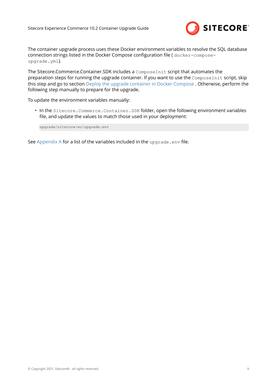

The container upgrade process uses these Docker environment variables to resolve the SQL database connection strings listed in the Docker Compose configuration file ( docker-composeupgrade.yml).

The Sitecore.Commerce.Container.SDK includes a ComposeInit script that automates the preparation steps for running the upgrade container. If you want to use the ComposeInit script, skip this step and go to section [Deploy the upgrade container in Docker Compose](#page-9-0) . Otherwise, perform the following step manually to prepare for the upgrade.

To update the environment variables manually:

• In the Sitecore.Commerce.Container.SDK folder, open the following environment variables file, and update the values to match those used in your deployment:

upgrade/sitecore-xc/upgrade.env

See [Appendix A](#page-22-0) for a list of the variables included in the upgrade.env file.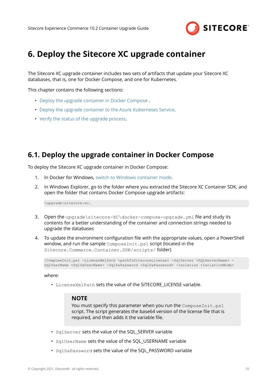

## <span id="page-9-0"></span>**6. Deploy the Sitecore XC upgrade container**

The Sitecore XC upgrade container includes two sets of artifacts that update your Sitecore XC databases, that is, one for Docker Compose, and one for Kubernetes.

This chapter contains the following sections:

- Deploy the upgrade container in Docker Compose .
- [Deploy the upgrade container to the Azure Kubernetes Service](#page-10-0).
- [Verify the status of the upgrade process](#page-12-0).

### **6.1. Deploy the upgrade container in Docker Compose**

To deploy the Sitecore XC upgrade container in Docker Compose:

- 1. In Docker for Windows, [switch to Windows container mode.](https://docs.docker.com/desktop/windows/)
- 2. In Windows Explorer, go to the folder where you extracted the Sitecore XC Container SDK, and open the folder that contains Docker Compose upgrade artifacts:

\upgrade\sitecore-xc.

- 3. Open the upgrade\sitecore-XC\docker-compose-upgrade.yml file and study its contents for a better understanding of the container and connection strings needed to upgrade the databases
- 4. To update the environment configuration file with the appropriate values, open a PowerShell window, and run the sample ComposeInit.ps1 script (located in the Sitecore.Commerce.Container.SDK/scripts/ folder)

/ComposeInit.ps1 -LicenseXmlPath <pathToSitecoreLicense> -SqlServer <SQLServerName> - SqlUserName <SqlSaUserName> -SqlSaPassword <SqlSaPassword> -Isolation <IsolationMode>

where:

• LicenseXmlPath sets the value of the SITECORE LICENSE variable.

#### **NOTE**

You must specify this parameter when you run the ComposeInit.ps1 script. The script generates the base64 version of the license file that is required, and then adds it the variable file.

- SqlServer sets the value of the SQL\_SERVER variable
- SqlUserName sets the value of the SQL\_USERNAME variable
- SqlSaPassword sets the value of the SQL\_PASSWORD variable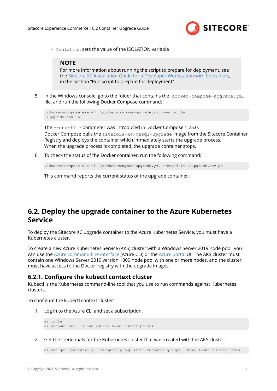

<span id="page-10-0"></span>• Isolation sets the value of the ISOLATION variable

### **NOTE**

For more information about running the script to prepare for deployment, see the [Sitecore XC Installation Guide for a Developer Workstation with Containers,](https://dev.sitecore.net/Downloads/Sitecore_Commerce/102/Sitecore_Experience_Commerce_102.aspx) in the section "Run script to prepare for deployment".

5. In the Windows console, go to the folder that contains the docker-compose-upgrade.yml file, and run the following Docker Compose command:

```
.\docker-compose.exe -f .\docker-compose-upgrade.yml --env-file
.\upgrade.env up
```
The --env-file parameter was introduced in Docker Compose 1.25.0. Docker Compose pulls the sitecore-xc-mssql-upgrade image from the Sitecore Container Registry and deploys the container which immediately starts the upgrade process. When the upgrade process is completed, the upgrade container stops.

6. To check the status of the Docker container, run the following command:

```
.\docker-compose.exe -f .\docker-compose-upgrade.yml --env-file .\upgrade.env ps
```
This command reports the current status of the upgrade container.

## **6.2. Deploy the upgrade container to the Azure Kubernetes Service**

To deploy the Sitecore XC upgrade container to the Azure Kubernetes Service, you must have a Kubernetes cluster.

To create a new Azure Kubernetes Service (AKS) cluster with a Windows Server 2019 node pool, you can use the [Azure command-line interface](https://docs.microsoft.com/en-us/cli/azure/) (Azure CLI) or the [Azure portal](https://azure.microsoft.com/en-ca/features/azure-portal/) UI. The AKS cluster must contain one Windows Server 2019 version 1809 node pool with one or more nodes, and the cluster must have access to the Docker registry with the upgrade images.

### **6.2.1. Configure the kubectl context cluster**

Kubectl is the Kubernetes command-line tool that you use to run commands against Kubernetes clusters.

To configure the kubectl context cluster:

1. Log in to the Azure CLI and set a subscription.

```
az login
az account set --subscription <Your subscription>
```
2. Get the credentials for the Kubernetes cluster that was created with the AKS cluster.

```
az aks get-credentials --resource-group <Your resource group> --name <Your cluster name>
```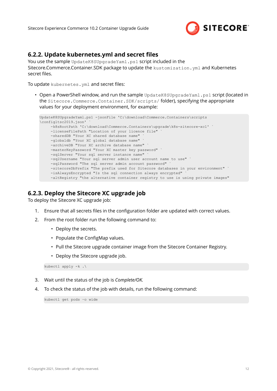

### <span id="page-11-0"></span>**6.2.2. Update kubernetes.yml and secret files**

You use the sample UpdateK8SUpgradeYaml.ps1 script included in the Sitecore.Commerce.Container.SDK package to update the kustomization.yml and Kubernetes secret files.

To update kubernetes. yml and secret files:

• Open a PowerShell window, and run the sample UpdateK8SUpgradeYaml.ps1 script (located in the Sitecore.Commerce.Container.SDK/scripts/ folder), specifying the appropriate values for your deployment environment, for example:

```
UpdateK8SUpgradeYaml.ps1 -jsonFile 'C:\download\Commerce.Containers\scripts
\configltsc2019.json'
     -k8sRootPath 'C:\download\Commerce.Containers\upgrade\k8s-sitecore-xc1' `
     -licenseFilePath "Location of your licence file" `
    -sharedDB "Your XC shared database name"
     -globaldb "Your XC global database name"
      -archiveDB "Your XC archive database name" `
     -masterKeyPassword "Your XC master key password" `
     -sqlServer "Your sql server instance name" `
     -sqlUsername "Your sql server admin user account name to use" `
     -sqlPassword "The sql server admin account password"
     -sitecoreDbPrefix "The prefix used for Sitecore databases in your environment"
     -isAlwaysEncrypted "Is the sql connection always encrypted" `
     -altRegistry "the alternative container registry to use is using private images"
```
### **6.2.3. Deploy the Sitecore XC upgrade job**

To deploy the Sitecore XC upgrade job:

- 1. Ensure that all secrets files in the configuration folder are updated with correct values.
- 2. From the root folder run the following command to:
	- Deploy the secrets.
	- Populate the ConfigMap values.
	- Pull the Sitecore upgrade container image from the Sitecore Container Registry.
	- Deploy the Sitecore upgrade job.

```
kubectl apply -k .\
```
- 3. Wait until the status of the job is *Complete/OK.*
- 4. To check the status of the job with details, run the following command:

kubectl get pods –o wide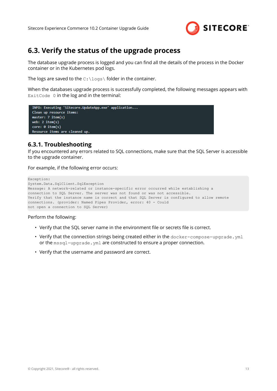

## <span id="page-12-0"></span>**6.3. Verify the status of the upgrade process**

The database upgrade process is logged and you can find all the details of the process in the Docker container or in the Kubernetes pod logs.

The logs are saved to the  $C:\log s\$  folder in the container.

When the databases upgrade process is successfully completed, the following messages appears with ExitCode 0 in the log and in the terminal:

```
INFO: Executing 'Sitecore.UpdateApp.exe' application...
Clean up resource items:
master: 7 item(s)
web: 2 item(s)
core: 0 item(s)
Resource items are cleaned up.
```
### **6.3.1. Troubleshooting**

If you encountered any errors related to SQL connections, make sure that the SQL Server is accessible to the upgrade container.

For example, if the following error occurs:

```
Exception:
System.Data.SqlClient.SqlException
Message: A network-related or instance-specific error occurred while establishing a
connection to SQL Server. The server was not found or was not accessible.
Verify that the instance name is correct and that SQL Server is configured to allow remote 
connections. (provider: Named Pipes Provider, error: 40 - Could
not open a connection to SQL Server)
```
Perform the following:

- Verify that the SQL server name in the environment file or secrets file is correct.
- Verify that the connection strings being created either in the docker-compose-upgrade.yml or the mssql-upgrade.yml are constructed to ensure a proper connection.
- Verify that the username and password are correct.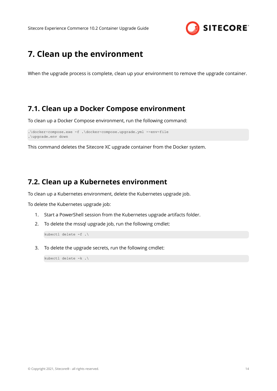

## <span id="page-13-0"></span>**7. Clean up the environment**

When the upgrade process is complete, clean up your environment to remove the upgrade container.

### **7.1. Clean up a Docker Compose environment**

To clean up a Docker Compose environment, run the following command:

```
.\docker-compose.exe -f .\docker-compose.upgrade.yml --env-file
.\upgrade.env down
```
This command deletes the Sitecore XC upgrade container from the Docker system.

## **7.2. Clean up a Kubernetes environment**

To clean up a Kubernetes environment, delete the Kubernetes upgrade job.

To delete the Kubernetes upgrade job:

- 1. Start a PowerShell session from the Kubernetes upgrade artifacts folder.
- 2. To delete the mssql upgrade job, run the following cmdlet:

kubectl delete -f .\

3. To delete the upgrade secrets, run the following cmdlet:

kubectl delete -k .\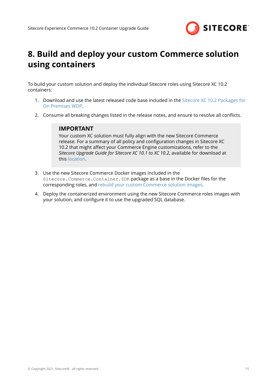

# <span id="page-14-0"></span>**8. Build and deploy your custom Commerce solution using containers**

To build your custom solution and deploy the individual Sitecore roles using Sitecore XC 10.2 containers:

- 1. Download and use the latest released code base included in the [Sitecore XC 10.2 Packages for](https://dev.sitecore.net/Downloads/Sitecore_Commerce/102/Sitecore_Experience_Commerce_102.aspx) [On Premises WDP.](https://dev.sitecore.net/Downloads/Sitecore_Commerce/102/Sitecore_Experience_Commerce_102.aspx)
- 2. Consume all breaking changes listed in the release notes, and ensure to resolve all conflicts.

### **IMPORTANT**

Your custom XC solution must fully align with the new Sitecore Commerce release. For a summary of all policy and configuration changes in Sitecore XC 10.2 that might affect your Commerce Engine customizations, refer to the *Sitecore Upgrade Guide for Sitecore XC 10.1 to XC 10.2*, available for download at this [location](https://dev.sitecore.net/Downloads/Sitecore_Commerce/102/Sitecore_Experience_Commerce_102.aspx).

- 3. Use the new Sitecore Commerce Docker images included in the Sitecore.Commerce.Container.SDK package as a base in the Docker files for the corresponding roles, and [rebuild your custom Commerce solution images.](https://doc.sitecore.com/developers/102/sitecore-experience-commerce/en/workflow-for-creating-custom-commerce-container-images.html)
- 4. Deploy the containerized environment using the new Sitecore Commerce roles images with your solution, and configure it to use the upgraded SQL database.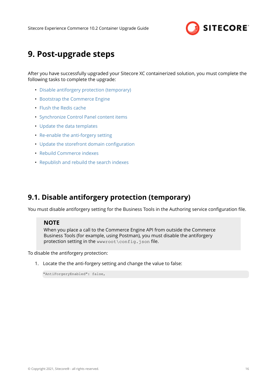

## <span id="page-15-0"></span>**9. Post-upgrade steps**

After you have successfully upgraded your Sitecore XC containerized solution, you must complete the following tasks to complete the upgrade:

- Disable antiforgery protection (temporary)
- [Bootstrap the Commerce Engine](#page-16-0)
- [Flush the Redis cache](#page-16-0)
- [Synchronize Control Panel content items](#page-17-0)
- [Update the data templates](#page-18-0)
- [Re-enable the anti-forgery setting](#page-19-0)
- Update the storefront domain configuration
- [Rebuild Commerce indexes](#page-20-0)
- [Republish and rebuild the search indexes](#page-21-0)

## **9.1. Disable antiforgery protection (temporary)**

You must disable antiforgery setting for the Business Tools in the Authoring service configuration file.

### **NOTE**

When you place a call to the Commerce Engine API from outside the Commerce Business Tools (for example, using Postman), you must disable the antiforgery protection setting in the www root \config.json file.

To disable the antiforgery protection:

1. Locate the the anti-forgery setting and change the value to false:

"AntiForgeryEnabled": false,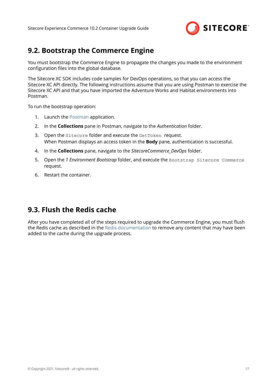

## <span id="page-16-0"></span>**9.2. Bootstrap the Commerce Engine**

You must bootstrap the Commerce Engine to propagate the changes you made to the environment configuration files into the global database.

The Sitecore XC SDK includes code samples for DevOps operations, so that you can access the Sitecore XC API directly. The following instructions assume that you are using Postman to exercise the Sitecore XC API and that you have imported the Adventure Works and Habitat environments into Postman.

To run the bootstrap operation:

- 1. Launch the [Postman](https://www.getpostman.com/apps) application.
- 2. In the **Collections** pane in Postman, navigate to the *Authentication* folder.
- 3. Open the Sitecore folder and execute the GetToken request. When Postman displays an access token in the **Body** pane, authentication is successful.
- 4. In the **Collections** pane, navigate to the *SitecoreCommerce\_DevOps* folder.
- 5. Open the *1 Environment Bootstrap* folder, and execute the Bootstrap Sitecore Commerce request.
- 6. Restart the container.

## **9.3. Flush the Redis cache**

After you have completed all of the steps required to upgrade the Commerce Engine, you must flush the Redis cache as described in the [Redis documentation](https://redis.io/documentation) to remove any content that may have been added to the cache during the upgrade process.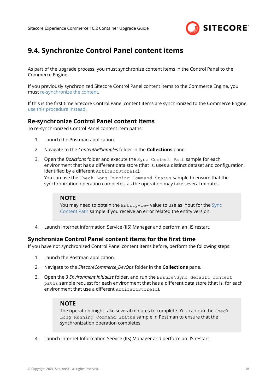

## <span id="page-17-0"></span>**9.4. Synchronize Control Panel content items**

As part of the upgrade process, you must synchronize content items in the Control Panel to the Commerce Engine.

If you previously synchronized Sitecore Control Panel content items to the Commerce Engine, you must re-synchronize the content.

If this is the first time Sitecore Control Panel content items are synchronized to the Commerce Engine, use this procedure instead.

### **Re-synchronize Control Panel content items**

To re-synchronized Control Panel content item paths:

- 1. Launch the Postman application.
- 2. Navigate to the *ContentAPISamples* folder in the **Collections** pane.
- 3. Open the *DoActions* folder and execute the Sync Content Path sample for each environment that has a different data store (that is, uses a distinct dataset and configuration, identified by a different ArtifactStoreId).

You can use the Check Long Running Command Status sample to ensure that the synchronization operation completes, as the operation may take several minutes.

#### **NOTE**

You may need to obtain the EntityView value to use as input for the [Sync](https://doc.sitecore.com/developers/102/sitecore-experience-commerce/en/synchronize-content-items.html) [Content Path](https://doc.sitecore.com/developers/102/sitecore-experience-commerce/en/synchronize-content-items.html) sample if you receive an error related the entity version.

4. Launch Internet Information Service (IIS) Manager and perform an IIS restart.

### **Synchronize Control Panel content items for the first time**

If you have not synchronized Control Panel content items before, perform the following steps:

- 1. Launch the Postman application.
- 2. Navigate to the *SitecoreCommerce\_DevOps* folder in the **Collections** pane.
- 3. Open the *3 Environment Initialize* folder, and run the Ensure\Sync default content paths sample request for each environment that has a different data store (that is, for each environment that use a different  $ArtifactStoreId$ .

### **NOTE**

The operation might take several minutes to complete. You can run the Check Long Running Command Status sample in Postman to ensure that the synchronization operation completes.

4. Launch Internet Information Service (IIS) Manager and perform an IIS restart.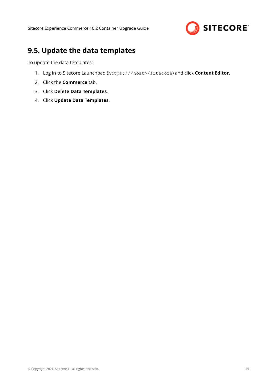

## <span id="page-18-0"></span>**9.5. Update the data templates**

To update the data templates:

- 1. Log in to Sitecore Launchpad (https://<host>/sitecore) and click **Content Editor**.
- 2. Click the **Commerce** tab.
- 3. Click **Delete Data Templates**.
- 4. Click **Update Data Templates**.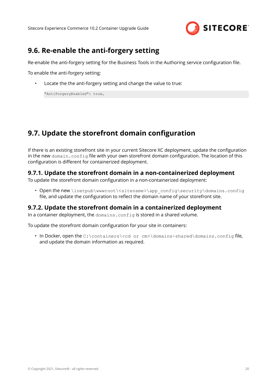

## <span id="page-19-0"></span>**9.6. Re-enable the anti-forgery setting**

Re-enable the anti-forgery setting for the Business Tools in the Authoring service configuration file.

To enable the anti-forgery setting:

Locate the the anti-forgery setting and change the value to true:

"AntiForgeryEnabled": true,

## **9.7. Update the storefront domain configuration**

If there is an existing storefront site in your current Sitecore XC deployment, update the configuration in the new domain.config file with your own storefront domain configuration. The location of this configuration is different for containerized deployment.

### **9.7.1. Update the storefront domain in a non-containerized deployment**

To update the storefront domain configuration in a non-containerized deployment:

• Open the new \inetpub\wwwroot\<sitename>\app\_config\security\domains.config file, and update the configuration to reflect the domain name of your storefront site.

### **9.7.2. Update the storefront domain in a containerized deployment**

In a container deployment, the domains.config is stored in a shared volume.

To update the storefront domain configuration for your site in containers:

• In Docker, open the  $C:\continens\ccot\ or\ cm\domains-shared\domains.config$  file, and update the domain information as required.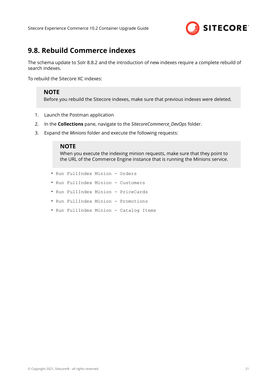

## <span id="page-20-0"></span>**9.8. Rebuild Commerce indexes**

The schema update to Solr 8.8.2 and the introduction of new indexes require a complete rebuild of search indexes.

To rebuild the Sitecore XC indexes:

### **NOTE**

Before you rebuild the Sitecore indexes, make sure that previous indexes were deleted.

- 1. Launch the Postman application
- 2. In the **Collections** pane, navigate to the *SitecoreCommerce\_DevOps* folder.
- 3. Expand the *Minions* folder and execute the following requests:

#### **NOTE**

When you execute the indexing minion requests, make sure that they point to the URL of the Commerce Engine instance that is running the Minions service.

- Run FullIndex Minion Orders
- Run FullIndex Minion Customers
- Run FullIndex Minion PriceCards
- Run FullIndex Minion Promotions
- Run FullIndex Minion Catalog Items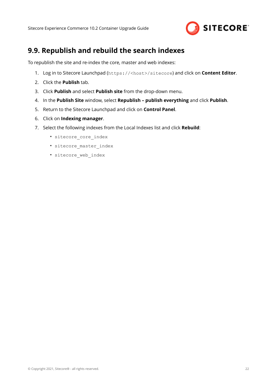

## <span id="page-21-0"></span>**9.9. Republish and rebuild the search indexes**

To republish the site and re-index the core, master and web indexes:

- 1. Log in to Sitecore Launchpad (https://<host>/sitecore) and click on **Content Editor**.
- 2. Click the **Publish** tab.
- 3. Click **Publish** and select **Publish site** from the drop-down menu.
- 4. In the **Publish Site** window, select **Republish publish everything** and click **Publish**.
- 5. Return to the Sitecore Launchpad and click on **Control Panel**.
- 6. Click on **Indexing manager**.
- 7. Select the following indexes from the Local Indexes list and click **Rebuild**:
	- sitecore core index
	- sitecore master index
	- sitecore web index